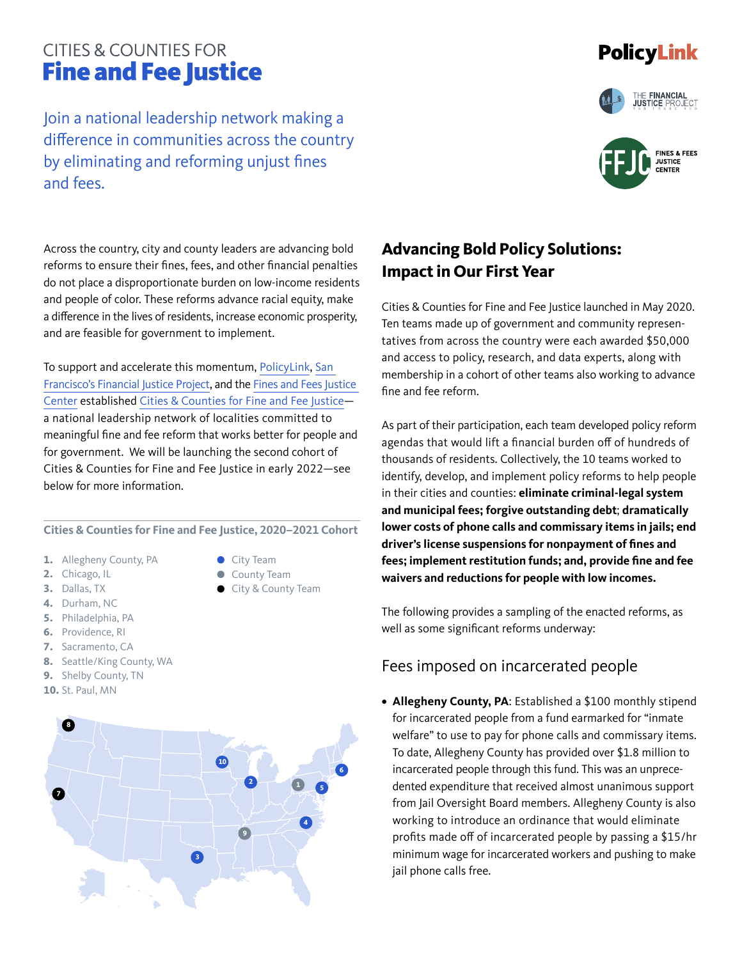# **CITIES & COUNTIES FOR Fine and Fee Justice**

Join a national leadership network making a difference in communities across the country by eliminating and reforming unjust fines and fees.

### **Advancing Bold Policy Solutions: Impact in Our First Year**

Cities & Counties for Fine and Fee Justice launched in May 2020. Ten teams made up of government and community representatives from across the country were each awarded \$50,000 and access to policy, research, and data experts, along with membership in a cohort of other teams also working to advance fine and fee reform.

As part of their participation, each team developed policy reform agendas that would lift a financial burden off of hundreds of thousands of residents. Collectively, the 10 teams worked to identify, develop, and implement policy reforms to help people in their cities and counties: **eliminate criminal-legal system and municipal fees; forgive outstanding debt**; **dramatically lower costs of phone calls and commissary items in jails; end driver's license suspensions for nonpayment of fines and fees; implement restitution funds; and, provide fine and fee waivers and reductions for people with low incomes.** 

The following provides a sampling of the enacted reforms, as well as some significant reforms underway:

#### Fees imposed on incarcerated people

**• Allegheny County, PA**: Established a \$100 monthly stipend for incarcerated people from a fund earmarked for "inmate welfare" to use to pay for phone calls and commissary items. To date, Allegheny County has provided over \$1.8 million to incarcerated people through this fund. This was an unprecedented expenditure that received almost unanimous support from Jail Oversight Board members. Allegheny County is also working to introduce an ordinance that would eliminate profits made off of incarcerated people by passing a \$15/hr minimum wage for incarcerated workers and pushing to make jail phone calls free.

Across the country, city and county leaders are advancing bold reforms to ensure their fines, fees, and other financial penalties do not place a disproportionate burden on low-income residents and people of color. These reforms advance racial equity, make a difference in the lives of residents, increase economic prosperity, and are feasible for government to implement.

To support and accelerate this momentum, [PolicyLink,](https://www.policylink.org/our-work/just-society/fines-fees) [San](https://sfgov.org/financialjustice/)  [Francisco's Financial Justice Project](https://sfgov.org/financialjustice/), and the [Fines and Fees Justice](https://finesandfeesjusticecenter.org/) [Center](https://finesandfeesjusticecenter.org/) established [Cities & Counties for Fine and Fee Justice](https://www.policylink.org/our-work/just-society/fines-fees/cities-counties) a national leadership network of localities committed to meaningful fine and fee reform that works better for people and for government. We will be launching the second cohort of Cities & Counties for Fine and Fee Justice in early 2022—see below for more information.

**Cities & Counties for Fine and Fee Justice, 2020–2021 Cohort**

- **1.** Allegheny County, PA
- **2.** Chicago, IL
- **3.** Dallas, TX
- **4.** Durham, NC
- **5.** Philadelphia, PA
- **6.** Providence, RI
- **7.** Sacramento, CA
- **8.** Seattle/King County, WA
- **9.** Shelby County, TN
- **10.** St. Paul, MN









City Team County Team City & County Team